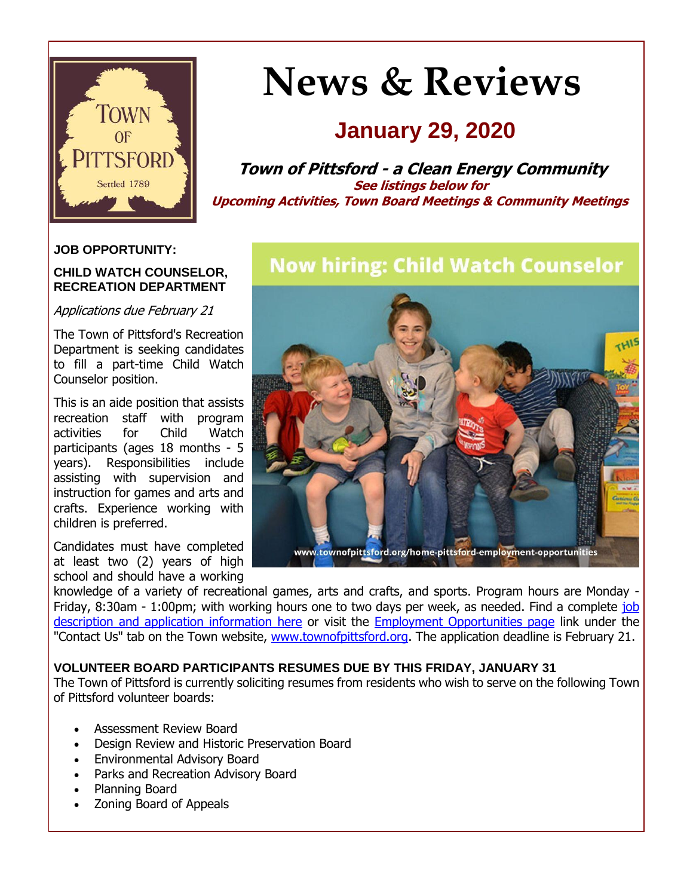

# **News & Reviews**

## **January 29, 2020**

**Town of Pittsford - a Clean Energy Community See listings below for Upcoming Activities, Town Board Meetings & Community Meetings**

#### **JOB OPPORTUNITY:**

#### **CHILD WATCH COUNSELOR, RECREATION DEPARTMENT**

Applications due February 21

The Town of Pittsford's Recreation Department is seeking candidates to fill a part-time Child Watch Counselor position.

This is an aide position that assists recreation staff with program activities for Child Watch participants (ages 18 months - 5 years). Responsibilities include assisting with supervision and instruction for games and arts and crafts. Experience working with children is preferred.

Candidates must have completed at least two (2) years of high school and should have a working

### **Now hiring: Child Watch Counselor**



knowledge of a variety of recreational games, arts and crafts, and sports. Program hours are Monday - Friday, 8:30am - 1:00pm; with working hours one to two days per week, as needed. Find a complete [job](http://r20.rs6.net/tn.jsp?f=001pQBkOGmGMNFzqIdEE0OccMyjWJLM_W7W9kVl1B3R4Wdbz-gbrN9ORwbhoVaAoj9_1_H5OFv_CXYZhC89AmbxDzQ7P2k_ZfEi6I-zTYcrioj_UymPCGkv-5XPsZPp2ZAF-1L9f87XetX8MDxnAshvgmFLsvcx3nVXshCzHY_rObQnzIB-FqGZeyYu8dfD4EffCxXyEjQM0AcSlV39GTg2vIyn77Zct_YbYMOLNr2Pyq17CVxk0ej5yNkxrKx1DWhZ3WYNQalh9nC-0arAPpKw1QtVoqW0pkYB49z-leoXlIGFl0UsL_r2CaXi2TRwvLi_y1tvEz3XLSYE39UA6JIw9xJaDbrlR6DFo01OftcJd1t3xrco0MH6tn8L35TuZk5G8WKPQRbdNeAfkI4HOfL30JbwqK0Wo8FA&c=zXidmpv7H4DHbRa662-gwPZi1fTiqLHd24pros6-6fByEleneLAmaA==&ch=0NWPsYBcMzJh7Qj6AwZ6jq6TaBXjrr_1d-VFcLLgDsjoGXvyNUAPIQ==)  [description and application information here](http://r20.rs6.net/tn.jsp?f=001pQBkOGmGMNFzqIdEE0OccMyjWJLM_W7W9kVl1B3R4Wdbz-gbrN9ORwbhoVaAoj9_1_H5OFv_CXYZhC89AmbxDzQ7P2k_ZfEi6I-zTYcrioj_UymPCGkv-5XPsZPp2ZAF-1L9f87XetX8MDxnAshvgmFLsvcx3nVXshCzHY_rObQnzIB-FqGZeyYu8dfD4EffCxXyEjQM0AcSlV39GTg2vIyn77Zct_YbYMOLNr2Pyq17CVxk0ej5yNkxrKx1DWhZ3WYNQalh9nC-0arAPpKw1QtVoqW0pkYB49z-leoXlIGFl0UsL_r2CaXi2TRwvLi_y1tvEz3XLSYE39UA6JIw9xJaDbrlR6DFo01OftcJd1t3xrco0MH6tn8L35TuZk5G8WKPQRbdNeAfkI4HOfL30JbwqK0Wo8FA&c=zXidmpv7H4DHbRa662-gwPZi1fTiqLHd24pros6-6fByEleneLAmaA==&ch=0NWPsYBcMzJh7Qj6AwZ6jq6TaBXjrr_1d-VFcLLgDsjoGXvyNUAPIQ==) or visit the **[Employment Opportunities page](http://r20.rs6.net/tn.jsp?f=001pQBkOGmGMNFzqIdEE0OccMyjWJLM_W7W9kVl1B3R4Wdbz-gbrN9ORwRfIJGwmYaFW0qXU6bxf9s65sbHkz0HQik41KIb_z8EG1jC8gpCqhcMM_UAeejCZTnhFSPGHSZXpZfqpUz86GT1YINAp000IXK1KF8CFUrddo0Q6d5TYARN1SAedgyz8SJrBaVxmjXW4PhGA4c7e56v1WxAmkEddZTF4oNJTtij2LuLGjAjTV1yADfIgvDQe24Tc1YePtd6MyqGuo-0GeaPX1ixMWi44KJKUxBU9aZwADzar8BcqeTfe8qGmEL0691PiYUbvRbRBWGJnenPxRk70hGDAvCohAesZd_uUvZ6&c=zXidmpv7H4DHbRa662-gwPZi1fTiqLHd24pros6-6fByEleneLAmaA==&ch=0NWPsYBcMzJh7Qj6AwZ6jq6TaBXjrr_1d-VFcLLgDsjoGXvyNUAPIQ==)** link under the "Contact Us" tab on the Town website, [www.townofpittsford.org.](http://r20.rs6.net/tn.jsp?f=001pQBkOGmGMNFzqIdEE0OccMyjWJLM_W7W9kVl1B3R4Wdbz-gbrN9OR25XhAQ8cPTA5QP5V_7mhVeshHpTeK_IWLuRXx3cZaeCkSxslPo7BE8J4kg09z7_G-GGWt2wbztcJW6d7_0NL4IqlhK_4_GmwOEW9-ezTuB0msID8zqfmed1wyC1pjvgOdZMNYNgxV5tRp0AcozZpQIZwGtcerkKsTSNjkFzpgQyyi7nXdx1BSR6AyNFgE7QAzuQ_WW5gTbVX1MhqL3YbyHbTo7xeFy5kiXhGAWgSjiLTY7QUyI967Q=&c=zXidmpv7H4DHbRa662-gwPZi1fTiqLHd24pros6-6fByEleneLAmaA==&ch=0NWPsYBcMzJh7Qj6AwZ6jq6TaBXjrr_1d-VFcLLgDsjoGXvyNUAPIQ==) The application deadline is February 21.

#### **VOLUNTEER BOARD PARTICIPANTS RESUMES DUE BY THIS FRIDAY, JANUARY 31**

The Town of Pittsford is currently soliciting resumes from residents who wish to serve on the following Town of Pittsford volunteer boards:

- Assessment Review Board
- Design Review and Historic Preservation Board
- Environmental Advisory Board
- Parks and Recreation Advisory Board
- Planning Board
- Zoning Board of Appeals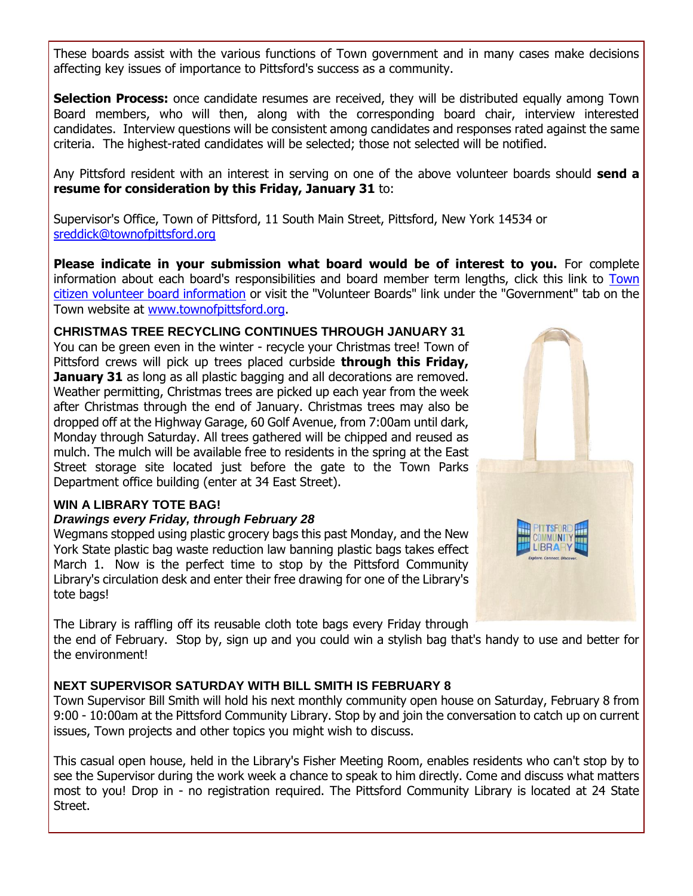These boards assist with the various functions of Town government and in many cases make decisions affecting key issues of importance to Pittsford's success as a community.

**Selection Process:** once candidate resumes are received, they will be distributed equally among Town Board members, who will then, along with the corresponding board chair, interview interested candidates. Interview questions will be consistent among candidates and responses rated against the same criteria. The highest-rated candidates will be selected; those not selected will be notified.

Any Pittsford resident with an interest in serving on one of the above volunteer boards should **send a resume for consideration by this Friday, January 31** to:

Supervisor's Office, Town of Pittsford, 11 South Main Street, Pittsford, New York 14534 or [sreddick@townofpittsford.org](mailto:sreddick@townofpittsford.org?subject=Town%20Volunteer%20Board%20application)

**Please indicate in your submission what board would be of interest to you.** For complete information about each board's responsibilities and board member term lengths, click this link to [Town](http://r20.rs6.net/tn.jsp?f=001pQBkOGmGMNFzqIdEE0OccMyjWJLM_W7W9kVl1B3R4Wdbz-gbrN9OR4AutK2hIxByk3CSBUi2dMMoaPxoflOzZU40BZINEAQ_4gg46kHjcQut2Y9t16RPj5Eck32axg1sx-xOzb1761mQZqSvRvuS7Z6XU5SAM-V0v0GNww9jSl8Oc2omsumxpkAYMi57dtjB64IqRfRylyAHkFzIYMJ2A1VtErpReV5g3PgFqrHjT6RQnGMnqjY44lP67vcd2dEzmMKpggTMZC_Uc69Uf9lK6kxPPZKfs18LjxrzbxL5n_bgkRGvgaguVg64cwp1f9uK&c=zXidmpv7H4DHbRa662-gwPZi1fTiqLHd24pros6-6fByEleneLAmaA==&ch=0NWPsYBcMzJh7Qj6AwZ6jq6TaBXjrr_1d-VFcLLgDsjoGXvyNUAPIQ==)  [citizen volunteer board information](http://r20.rs6.net/tn.jsp?f=001pQBkOGmGMNFzqIdEE0OccMyjWJLM_W7W9kVl1B3R4Wdbz-gbrN9OR4AutK2hIxByk3CSBUi2dMMoaPxoflOzZU40BZINEAQ_4gg46kHjcQut2Y9t16RPj5Eck32axg1sx-xOzb1761mQZqSvRvuS7Z6XU5SAM-V0v0GNww9jSl8Oc2omsumxpkAYMi57dtjB64IqRfRylyAHkFzIYMJ2A1VtErpReV5g3PgFqrHjT6RQnGMnqjY44lP67vcd2dEzmMKpggTMZC_Uc69Uf9lK6kxPPZKfs18LjxrzbxL5n_bgkRGvgaguVg64cwp1f9uK&c=zXidmpv7H4DHbRa662-gwPZi1fTiqLHd24pros6-6fByEleneLAmaA==&ch=0NWPsYBcMzJh7Qj6AwZ6jq6TaBXjrr_1d-VFcLLgDsjoGXvyNUAPIQ==) or visit the "Volunteer Boards" link under the "Government" tab on the Town website at [www.townofpittsford.org.](http://r20.rs6.net/tn.jsp?f=001pQBkOGmGMNFzqIdEE0OccMyjWJLM_W7W9kVl1B3R4Wdbz-gbrN9OR25XhAQ8cPTA5QP5V_7mhVeshHpTeK_IWLuRXx3cZaeCkSxslPo7BE8J4kg09z7_G-GGWt2wbztcJW6d7_0NL4IqlhK_4_GmwOEW9-ezTuB0msID8zqfmed1wyC1pjvgOdZMNYNgxV5tRp0AcozZpQIZwGtcerkKsTSNjkFzpgQyyi7nXdx1BSR6AyNFgE7QAzuQ_WW5gTbVX1MhqL3YbyHbTo7xeFy5kiXhGAWgSjiLTY7QUyI967Q=&c=zXidmpv7H4DHbRa662-gwPZi1fTiqLHd24pros6-6fByEleneLAmaA==&ch=0NWPsYBcMzJh7Qj6AwZ6jq6TaBXjrr_1d-VFcLLgDsjoGXvyNUAPIQ==)

**CHRISTMAS TREE RECYCLING CONTINUES THROUGH JANUARY 31** You can be green even in the winter - recycle your Christmas tree! Town of Pittsford crews will pick up trees placed curbside **through this Friday, January 31** as long as all plastic bagging and all decorations are removed. Weather permitting, Christmas trees are picked up each year from the week after Christmas through the end of January. Christmas trees may also be dropped off at the Highway Garage, 60 Golf Avenue, from 7:00am until dark, Monday through Saturday. All trees gathered will be chipped and reused as mulch. The mulch will be available free to residents in the spring at the East Street storage site located just before the gate to the Town Parks Department office building (enter at 34 East Street).

#### **WIN A LIBRARY TOTE BAG!**

#### *Drawings every Friday, through February 28*

Wegmans stopped using plastic grocery bags this past Monday, and the New York State plastic bag waste reduction law banning plastic bags takes effect March 1. Now is the perfect time to stop by the Pittsford Community Library's circulation desk and enter their free drawing for one of the Library's tote bags!



The Library is raffling off its reusable cloth tote bags every Friday through the end of February. Stop by, sign up and you could win a stylish bag that's handy to use and better for the environment!

#### **NEXT SUPERVISOR SATURDAY WITH BILL SMITH IS FEBRUARY 8**

Town Supervisor Bill Smith will hold his next monthly community open house on Saturday, February 8 from 9:00 - 10:00am at the Pittsford Community Library. Stop by and join the conversation to catch up on current issues, Town projects and other topics you might wish to discuss.

This casual open house, held in the Library's Fisher Meeting Room, enables residents who can't stop by to see the Supervisor during the work week a chance to speak to him directly. Come and discuss what matters most to you! Drop in - no registration required. The Pittsford Community Library is located at 24 State Street.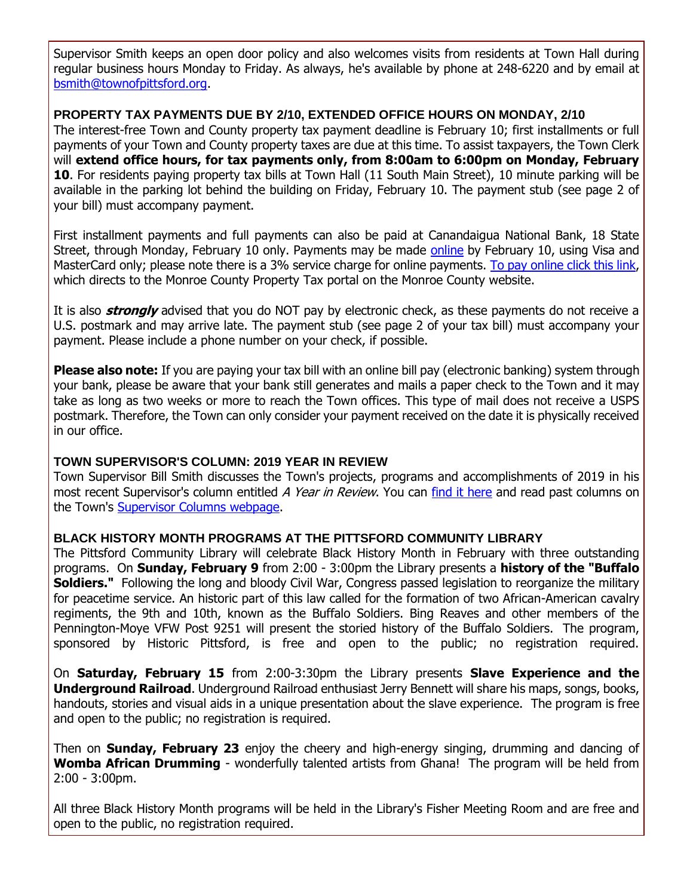Supervisor Smith keeps an open door policy and also welcomes visits from residents at Town Hall during regular business hours Monday to Friday. As always, he's available by phone at 248-6220 and by email at [bsmith@townofpittsford.org.](mailto:bsmith@townofpittsford.org)

#### **PROPERTY TAX PAYMENTS DUE BY 2/10, EXTENDED OFFICE HOURS ON MONDAY, 2/10**

The interest-free Town and County property tax payment deadline is February 10; first installments or full payments of your Town and County property taxes are due at this time. To assist taxpayers, the Town Clerk will **extend office hours, for tax payments only, from 8:00am to 6:00pm on Monday, February 10**. For residents paying property tax bills at Town Hall (11 South Main Street), 10 minute parking will be available in the parking lot behind the building on Friday, February 10. The payment stub (see page 2 of your bill) must accompany payment.

First installment payments and full payments can also be paid at Canandaigua National Bank, 18 State Street, through Monday, February 10 only. Payments may be made [online](http://r20.rs6.net/tn.jsp?f=001pQBkOGmGMNFzqIdEE0OccMyjWJLM_W7W9kVl1B3R4Wdbz-gbrN9OR_e4i507xWa1yzT-MPcr4SuTzqLrWsm_oxzubDsnak2rJNvOE7MIPejjiFtUdZGeqHjCFoOaFfazKIjmyk4Td2LdWSVbg9EoEPqURc7EYv0BnFye0Ozb0ddaAi41Ow3Qcud4nCf2fdB1jAgxQulndt42gMcAjZluG4DvZY04uGjF4EMGMFhtm5qUIZWr5i4qEzQw921w1euuJnWu_cRarDcNltIHAU4o8WgJB1lGC-gVpGYu1sQ7zQB8jiTHdHorL7_AZp5XqU5X&c=zXidmpv7H4DHbRa662-gwPZi1fTiqLHd24pros6-6fByEleneLAmaA==&ch=0NWPsYBcMzJh7Qj6AwZ6jq6TaBXjrr_1d-VFcLLgDsjoGXvyNUAPIQ==) by February 10, using Visa and MasterCard only; please note there is a 3% service charge for online payments. [To pay online click this link,](http://r20.rs6.net/tn.jsp?f=001pQBkOGmGMNFzqIdEE0OccMyjWJLM_W7W9kVl1B3R4Wdbz-gbrN9ORwbhoVaAoj9_OowLGbfwU0F0wFLiquqA04RpLb7RUNT-JjXMi3-G4PcFRY9JH4A6yfpoJWoasoUekcLAu-2PlsZ8kl_UMt_jAkCLvw9Hy23AcZmVthRKDJdceqQwz0i61qKgRie_Ks7yX4wtGbvBsay9mooRy8URZ1nGQjRTxMpzDRnBj5jKIoEJ_JL5XQtyYVBn4y4YaHF_HAzqmkEpiImL3coPoHuboAZc3fk94hKo0JBP9MHtsG2DrI-KPp9ioQ==&c=zXidmpv7H4DHbRa662-gwPZi1fTiqLHd24pros6-6fByEleneLAmaA==&ch=0NWPsYBcMzJh7Qj6AwZ6jq6TaBXjrr_1d-VFcLLgDsjoGXvyNUAPIQ==) which directs to the Monroe County Property Tax portal on the Monroe County website.

It is also **strongly** advised that you do NOT pay by electronic check, as these payments do not receive a U.S. postmark and may arrive late. The payment stub (see page 2 of your tax bill) must accompany your payment. Please include a phone number on your check, if possible.

**Please also note:** If you are paying your tax bill with an online bill pay (electronic banking) system through your bank, please be aware that your bank still generates and mails a paper check to the Town and it may take as long as two weeks or more to reach the Town offices. This type of mail does not receive a USPS postmark. Therefore, the Town can only consider your payment received on the date it is physically received in our office.

#### **TOWN SUPERVISOR'S COLUMN: 2019 YEAR IN REVIEW**

Town Supervisor Bill Smith discusses the Town's projects, programs and accomplishments of 2019 in his most recent Supervisor's column entitled A Year in Review. You can [find it here](http://r20.rs6.net/tn.jsp?f=001pQBkOGmGMNFzqIdEE0OccMyjWJLM_W7W9kVl1B3R4Wdbz-gbrN9ORwbhoVaAoj9_-PUsKdwfnMzx7R8uwwW1dBJQQpwf_d0-jo1VumLE2ghULldBvnUQ3ci-1lKT__7V2rF0JEhA0OHQl6jpU0cQm7vwq4b0WHBwSI-olyxo2vL-_UzWYaq_r0TTROezEjhvK0kJGUBQ4xHsqHq_8x6G1QRIbyVaxw9TaadqAbqiqxfmcIr2FouzPV_LyK7y7lpM1HrNrTYmUcngPtlXGSCQ6r5GcyNYLCDZtCXwG8XkMQDsd7Cl0R1JIr5uFbqDigpW0u7Wz2UvYAQbLRnYUtSebkM5-Grkd_Qvxdzgw3S30_oef1bUdtF_2qbvMYbSEhW1CcEWfWCf4XMWJOXsFvJt7eZL2aeN1OY3&c=zXidmpv7H4DHbRa662-gwPZi1fTiqLHd24pros6-6fByEleneLAmaA==&ch=0NWPsYBcMzJh7Qj6AwZ6jq6TaBXjrr_1d-VFcLLgDsjoGXvyNUAPIQ==) and read past columns on the Town's [Supervisor Columns webpage.](http://r20.rs6.net/tn.jsp?f=001pQBkOGmGMNFzqIdEE0OccMyjWJLM_W7W9kVl1B3R4Wdbz-gbrN9ORz1inuv8ajC2rMdE8MB2N1H6HTWz6CnXL_sr3sQnhRkMDM6mzfOyhcjgZkL6oAEx1DhlXFs3IZzKJ4QlquQ7p75JKG2KJHkL2JMr8qJOr-vTG0j5wXpRHh8ZgVRP2ixvFym9O0zMvwJIb7SMfTns2s4M7WtNVZC8318bV-Hv1jc0GXu6_WNOO96uajbJ4IjoddCsKoOBCnagHPfgPgKmHWuC8af-OUeW9KClj3wcIjo5MPM5tH1crjVz0FeVORZZzNQJ4Qb5IP-k&c=zXidmpv7H4DHbRa662-gwPZi1fTiqLHd24pros6-6fByEleneLAmaA==&ch=0NWPsYBcMzJh7Qj6AwZ6jq6TaBXjrr_1d-VFcLLgDsjoGXvyNUAPIQ==)

#### **BLACK HISTORY MONTH PROGRAMS AT THE PITTSFORD COMMUNITY LIBRARY**

The Pittsford Community Library will celebrate Black History Month in February with three outstanding programs. On **Sunday, February 9** from 2:00 - 3:00pm the Library presents a **history of the "Buffalo Soldiers."** Following the long and bloody Civil War, Congress passed legislation to reorganize the military for peacetime service. An historic part of this law called for the formation of two African-American cavalry regiments, the 9th and 10th, known as the Buffalo Soldiers. Bing Reaves and other members of the Pennington-Moye VFW Post 9251 will present the storied history of the Buffalo Soldiers. The program, sponsored by Historic Pittsford, is free and open to the public; no registration required.

On **Saturday, February 15** from 2:00-3:30pm the Library presents **Slave Experience and the Underground Railroad**. Underground Railroad enthusiast Jerry Bennett will share his maps, songs, books, handouts, stories and visual aids in a unique presentation about the slave experience. The program is free and open to the public; no registration is required.

Then on **Sunday, February 23** enjoy the cheery and high-energy singing, drumming and dancing of **Womba African Drumming** - wonderfully talented artists from Ghana! The program will be held from 2:00 - 3:00pm.

All three Black History Month programs will be held in the Library's Fisher Meeting Room and are free and open to the public, no registration required.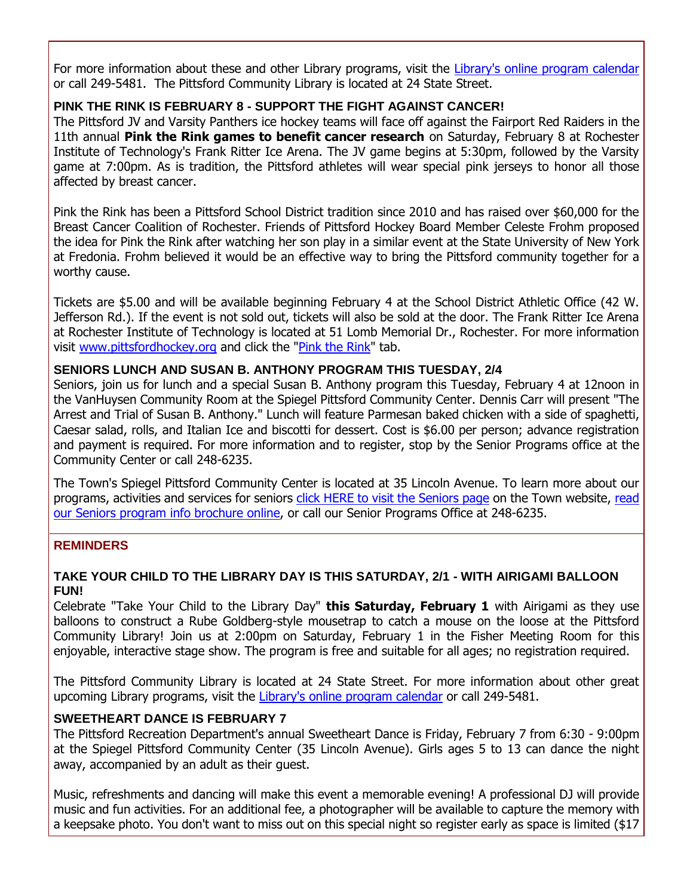For more information about these and other Library programs, visit the [Library's online program calendar](http://r20.rs6.net/tn.jsp?f=001pQBkOGmGMNFzqIdEE0OccMyjWJLM_W7W9kVl1B3R4Wdbz-gbrN9OR-hH42JuEGHiFCdmjl-abCpMqNP50IP56yXANOd0B97cWYeM93500qdLnbx32_NkLtKjPgwdigcRdaGRJmYXPDmsVxS-cTORPg5VBRf3n5-zDRFRkt830TGgvNrrJoslY9hhfO2E7rVHRBzTH9DgwVSht3Q7Osb12DGfY1l7wd8EzlTSizCrwI5Pfb8FMvCLirQ3SdYW4rarwjGM1pQJILNrnEOy3rO27CU6zTGx6HQ9SjAzaRMwEckWtsizxCOa7HvZxoX_yjpFSxrmGvxnrrPT0fl_3tf-kDO86xFg0GcoNUYDqFY4J7NCLBTUJpyaVqYFgy3VBj3AMt7XirKJ8GM=&c=zXidmpv7H4DHbRa662-gwPZi1fTiqLHd24pros6-6fByEleneLAmaA==&ch=0NWPsYBcMzJh7Qj6AwZ6jq6TaBXjrr_1d-VFcLLgDsjoGXvyNUAPIQ==) or call 249-5481. The Pittsford Community Library is located at 24 State Street.

#### **PINK THE RINK IS FEBRUARY 8 - SUPPORT THE FIGHT AGAINST CANCER!**

The Pittsford JV and Varsity Panthers ice hockey teams will face off against the Fairport Red Raiders in the 11th annual **Pink the Rink games to benefit cancer research** on Saturday, February 8 at Rochester Institute of Technology's Frank Ritter Ice Arena. The JV game begins at 5:30pm, followed by the Varsity game at 7:00pm. As is tradition, the Pittsford athletes will wear special pink jerseys to honor all those affected by breast cancer.

Pink the Rink has been a Pittsford School District tradition since 2010 and has raised over \$60,000 for the Breast Cancer Coalition of Rochester. Friends of Pittsford Hockey Board Member Celeste Frohm proposed the idea for Pink the Rink after watching her son play in a similar event at the State University of New York at Fredonia. Frohm believed it would be an effective way to bring the Pittsford community together for a worthy cause.

Tickets are \$5.00 and will be available beginning February 4 at the School District Athletic Office (42 W. Jefferson Rd.). If the event is not sold out, tickets will also be sold at the door. The Frank Ritter Ice Arena at Rochester Institute of Technology is located at 51 Lomb Memorial Dr., Rochester. For more information visit [www.pittsfordhockey.org](http://r20.rs6.net/tn.jsp?f=001pQBkOGmGMNFzqIdEE0OccMyjWJLM_W7W9kVl1B3R4Wdbz-gbrN9OR_Z5TDs1EHXm1SHGaQK4u16B--_qmyE2ZUpfGvl_7VEZuR3coRb4vwO7toXj_55ixlX9c0aXp58ekZKxEgqnWlGlq3I27lfNIWu3zqnZO1zHFRnwK5ycVsz3fmhlzNjyhxzaPLRALckmWysDMLkD2TKpD9cE6Av3z9_ondqB5NsVkbfOy99P8Xa2kiG1nA6DUKEX7_FJkiNt0qIfj4XnaL86HIFoo7vEu0PPFwurmH76x8GpSBYHv7Y=&c=zXidmpv7H4DHbRa662-gwPZi1fTiqLHd24pros6-6fByEleneLAmaA==&ch=0NWPsYBcMzJh7Qj6AwZ6jq6TaBXjrr_1d-VFcLLgDsjoGXvyNUAPIQ==) and click the ["Pink the Rink"](http://r20.rs6.net/tn.jsp?f=001pQBkOGmGMNFzqIdEE0OccMyjWJLM_W7W9kVl1B3R4Wdbz-gbrN9ORwbhoVaAoj9_kEWV6BhtHAkaJ1n0ppY4xE9ITkdiM3MWk5KEkDuO2ZpZT8nyFM4fJPZEtmu27XmPCF9UwfCnfF7e7X0ponO0gCw7oeN-OcNeuxI7EzK52vSw1B6d5KUJSHVLLenojfCiq0Pb6fAjNqgi9_YtfLoaMDvOafboYobR3znYzWiZ6KR5eUKwG9z66veV4EBjClP5rcVf_ziXChm3ZVWl8NjZ7qm_2XjnkkZj41bZe2aZCgRur8501BI66pYYtnxNsYewWmBRj4NUGynyWGqoZQnZCDgSte04ajqhcB-PxodtVT2ljFubrEAOTQ==&c=zXidmpv7H4DHbRa662-gwPZi1fTiqLHd24pros6-6fByEleneLAmaA==&ch=0NWPsYBcMzJh7Qj6AwZ6jq6TaBXjrr_1d-VFcLLgDsjoGXvyNUAPIQ==) tab.

#### **SENIORS LUNCH AND SUSAN B. ANTHONY PROGRAM THIS TUESDAY, 2/4**

Seniors, join us for lunch and a special Susan B. Anthony program this Tuesday, February 4 at 12noon in the VanHuysen Community Room at the Spiegel Pittsford Community Center. Dennis Carr will present "The Arrest and Trial of Susan B. Anthony." Lunch will feature Parmesan baked chicken with a side of spaghetti, Caesar salad, rolls, and Italian Ice and biscotti for dessert. Cost is \$6.00 per person; advance registration and payment is required. For more information and to register, stop by the Senior Programs office at the Community Center or call 248-6235.

The Town's Spiegel Pittsford Community Center is located at 35 Lincoln Avenue. To learn more about our programs, activities and services for seniors [click HERE to visit the Seniors page](http://www.townofpittsford.org/home-seniors?utm_source=eNews+1-29-20&utm_campaign=eNews+01-29-20&utm_medium=email) on the Town website, read [our Seniors program info brochure online,](http://r20.rs6.net/tn.jsp?f=001pQBkOGmGMNFzqIdEE0OccMyjWJLM_W7W9kVl1B3R4Wdbz-gbrN9OR5pEDre8GpZT6_FbcDU7Z1KpDSn4KlppnVxPgYKnE2REk6eG-5RSbREowXkjqV7Mp9I0soywABPsDCsHAgjCvZY80MILHCtMpT8kt0Rh1sw6WZGkHoDunCxZsP76tV95SjCkG_43-x68IfUPcDWNPsvLje8FSJoGm-n6btbL5PrxRteJ_tlJVyRQPIOxANuhxHFFRPNTRh2P0sgXzF0Klw_Wwp1oVPTz9dADkgs9t2IR4VeINsHzzSF9vSajqIyWNGLzevlt9eHY2WAY06sghOPWK4SE_uBll8gs2Zw_LcBhOgk-Y2GqJewRu-gy0e3O7w==&c=zXidmpv7H4DHbRa662-gwPZi1fTiqLHd24pros6-6fByEleneLAmaA==&ch=0NWPsYBcMzJh7Qj6AwZ6jq6TaBXjrr_1d-VFcLLgDsjoGXvyNUAPIQ==) or call our Senior Programs Office at 248-6235.

#### **REMINDERS**

#### **TAKE YOUR CHILD TO THE LIBRARY DAY IS THIS SATURDAY, 2/1 - WITH AIRIGAMI BALLOON FUN!**

Celebrate "Take Your Child to the Library Day" **this Saturday, February 1** with Airigami as they use balloons to construct a Rube Goldberg-style mousetrap to catch a mouse on the loose at the Pittsford Community Library! Join us at 2:00pm on Saturday, February 1 in the Fisher Meeting Room for this enjoyable, interactive stage show. The program is free and suitable for all ages; no registration required.

The Pittsford Community Library is located at 24 State Street. For more information about other great upcoming Library programs, visit the [Library's online program calendar](http://r20.rs6.net/tn.jsp?f=001pQBkOGmGMNFzqIdEE0OccMyjWJLM_W7W9kVl1B3R4Wdbz-gbrN9OR70GLPO9mDjlgYxE57fH_CLKdvFM2yL5e6OWlv8hOBCYMNvVYNyJxpM0RuOF4MYyeUqk76wJfDUfw3xnpZ6MWcjB2DYsEJEFW2GBW4okPw_VUAF91zbSGAvJYE4Q81NbEOLK-2uwFJ0PHwV4MrAkx409qQquYAMgh9FcNhawYyf0aqk2VUXyco3BMjAwPVY2wRQAwzJhFN02ikN8mrNFIWdgsaj5exRrQrwm7mn_DsNfYN6ep_FGDBYypaCUSB2MeSBdWDl-CkARec-zytWc8UNEDEXNFua0ZA==&c=zXidmpv7H4DHbRa662-gwPZi1fTiqLHd24pros6-6fByEleneLAmaA==&ch=0NWPsYBcMzJh7Qj6AwZ6jq6TaBXjrr_1d-VFcLLgDsjoGXvyNUAPIQ==) or call 249-5481.

#### **SWEETHEART DANCE IS FEBRUARY 7**

The Pittsford Recreation Department's annual Sweetheart Dance is Friday, February 7 from 6:30 - 9:00pm at the Spiegel Pittsford Community Center (35 Lincoln Avenue). Girls ages 5 to 13 can dance the night away, accompanied by an adult as their guest.

Music, refreshments and dancing will make this event a memorable evening! A professional DJ will provide music and fun activities. For an additional fee, a photographer will be available to capture the memory with a keepsake photo. You don't want to miss out on this special night so register early as space is limited (\$17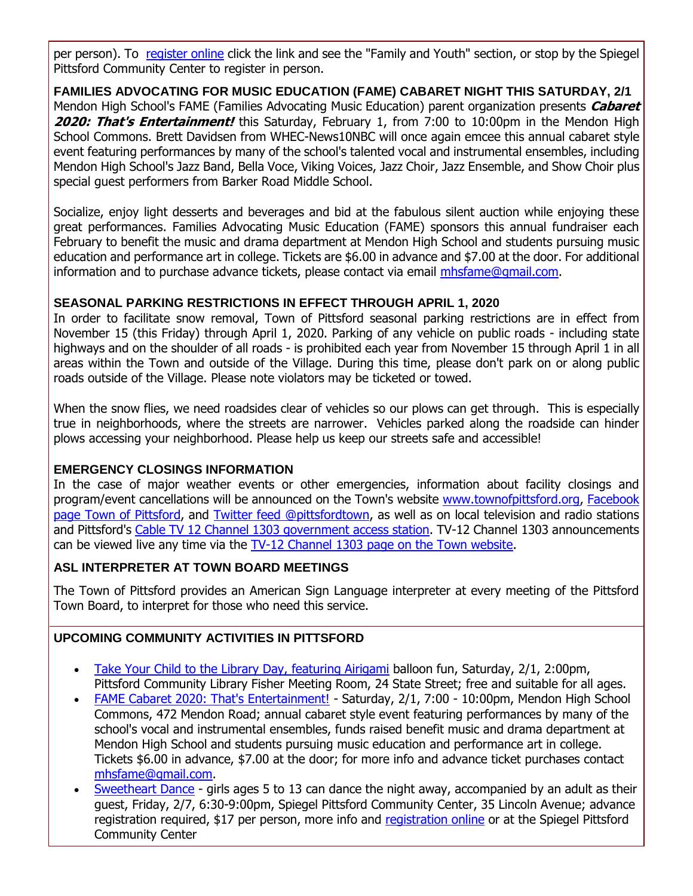per person). To [register online](http://r20.rs6.net/tn.jsp?f=001pQBkOGmGMNFzqIdEE0OccMyjWJLM_W7W9kVl1B3R4Wdbz-gbrN9ORz1inuv8ajC2ZtXEFzD_rLPFKtqaftO_b_3v0KCKj0gO1t2_kRtdHxsy5ZiI98l8QseKLhLl4gl_vWjUmCowj0TzlzcT9HVCOt6Yx1joBPqeFyBtnjxW1KkhmdlcbUB1Oxt_cqQ4PWpQyXmI1myL_3QviK_pIW6LJylRf8kytOJ0WhiGCFfFEoJOmPGUzkhENL3iayPrnLhMrHvvYI9cjGG5cifosL36s5K3X8tYLuwCk8opVTpM4LLpXMD3JQF-Q5EbtBF6k1_CIFotmBYhzGEckerdwa1oMIfT5zdwFbGU&c=zXidmpv7H4DHbRa662-gwPZi1fTiqLHd24pros6-6fByEleneLAmaA==&ch=0NWPsYBcMzJh7Qj6AwZ6jq6TaBXjrr_1d-VFcLLgDsjoGXvyNUAPIQ==) click the link and see the "Family and Youth" section, or stop by the Spiegel Pittsford Community Center to register in person.

**FAMILIES ADVOCATING FOR MUSIC EDUCATION (FAME) CABARET NIGHT THIS SATURDAY, 2/1** Mendon High School's FAME (Families Advocating Music Education) parent organization presents **Cabaret 2020: That's Entertainment!** this Saturday, February 1, from 7:00 to 10:00pm in the Mendon High School Commons. Brett Davidsen from WHEC-News10NBC will once again emcee this annual cabaret style event featuring performances by many of the school's talented vocal and instrumental ensembles, including Mendon High School's Jazz Band, Bella Voce, Viking Voices, Jazz Choir, Jazz Ensemble, and Show Choir plus special guest performers from Barker Road Middle School.

Socialize, enjoy light desserts and beverages and bid at the fabulous silent auction while enjoying these great performances. Families Advocating Music Education (FAME) sponsors this annual fundraiser each February to benefit the music and drama department at Mendon High School and students pursuing music education and performance art in college. Tickets are \$6.00 in advance and \$7.00 at the door. For additional information and to purchase advance tickets, please contact via email [mhsfame@gmail.com.](mailto:mhsfame@gmail.com?subject=FAME%20Cabaret%202020)

#### **SEASONAL PARKING RESTRICTIONS IN EFFECT THROUGH APRIL 1, 2020**

In order to facilitate snow removal, Town of Pittsford seasonal parking restrictions are in effect from November 15 (this Friday) through April 1, 2020. Parking of any vehicle on public roads - including state highways and on the shoulder of all roads - is prohibited each year from November 15 through April 1 in all areas within the Town and outside of the Village. During this time, please don't park on or along public roads outside of the Village. Please note violators may be ticketed or towed.

When the snow flies, we need roadsides clear of vehicles so our plows can get through. This is especially true in neighborhoods, where the streets are narrower. Vehicles parked along the roadside can hinder plows accessing your neighborhood. Please help us keep our streets safe and accessible!

#### **EMERGENCY CLOSINGS INFORMATION**

In the case of major weather events or other emergencies, information about facility closings and program/event cancellations will be announced on the Town's website [www.townofpittsford.org,](http://townofpittsford.org/?utm_source=eNews+1-29-20&utm_campaign=eNews+01-29-20&utm_medium=email) [Facebook](https://www.facebook.com/pages/Town-of-Pittsford/139082619464200)  [page Town of Pittsford,](https://www.facebook.com/pages/Town-of-Pittsford/139082619464200) and [Twitter feed @pittsfordtown,](http://r20.rs6.net/tn.jsp?f=001pQBkOGmGMNFzqIdEE0OccMyjWJLM_W7W9kVl1B3R4Wdbz-gbrN9OR4Tj_7mciG57aARW2pXq32YNYe-ppFFvJArfxJSLjvMgNah1qVgvQX8Qk2VF-hxgehDcQAX32bTsWjddVh22KNl0yiTaehdAWYc4ZVBI73vgua8hvof-c9rW1vJK0aHz8Q==&c=zXidmpv7H4DHbRa662-gwPZi1fTiqLHd24pros6-6fByEleneLAmaA==&ch=0NWPsYBcMzJh7Qj6AwZ6jq6TaBXjrr_1d-VFcLLgDsjoGXvyNUAPIQ==) as well as on local television and radio stations and Pittsford's [Cable TV 12 Channel 1303 government access station.](http://townofpittsford.org/home-channel12?utm_source=eNews+1-29-20&utm_campaign=eNews+01-29-20&utm_medium=email) TV-12 Channel 1303 announcements can be viewed live any time via the [TV-12 Channel 1303 page on the Town website.](http://townofpittsford.org/home-channel12?utm_source=eNews+1-29-20&utm_campaign=eNews+01-29-20&utm_medium=email)

#### **ASL INTERPRETER AT TOWN BOARD MEETINGS**

The Town of Pittsford provides an American Sign Language interpreter at every meeting of the Pittsford Town Board, to interpret for those who need this service.

#### **UPCOMING COMMUNITY ACTIVITIES IN PITTSFORD**

- [Take Your Child to the Library Day, featuring Airigami](http://r20.rs6.net/tn.jsp?f=001pQBkOGmGMNFzqIdEE0OccMyjWJLM_W7W9kVl1B3R4Wdbz-gbrN9OR_pS3OxSL0iFqMNJPC5baNnyb3H1q8RIwvqORl3Iieg525UGn5OqOqiJMgZO8M3gRDa9ZYFf8KAmJn1ZuH2KJDUiqM7GhWrY_S8fYZjbfnlE79Voq_Ex5ODI7B_5omCAE6dadkI6TF7BSiuXTlC8NToBzNcInTx4yomZCLc_C869dMrq-APCV9G-qdgeNnmAXnmAWl44o-QyLSQha5TKjQlakKgaVEn4QXTCoSWViASLfBTBM8Xv74oVWQAWKWVSemABBQkWk8l_&c=zXidmpv7H4DHbRa662-gwPZi1fTiqLHd24pros6-6fByEleneLAmaA==&ch=0NWPsYBcMzJh7Qj6AwZ6jq6TaBXjrr_1d-VFcLLgDsjoGXvyNUAPIQ==) balloon fun, Saturday, 2/1, 2:00pm, Pittsford Community Library Fisher Meeting Room, 24 State Street; free and suitable for all ages.
- [FAME Cabaret 2020: That's Entertainment!](http://r20.rs6.net/tn.jsp?f=001pQBkOGmGMNFzqIdEE0OccMyjWJLM_W7W9kVl1B3R4Wdbz-gbrN9OR_pS3OxSL0iFbMHBNNYjv6CYVyJX6J6S9HVYCUdj78uzn-i-LjGSkVKfDMBDcJe9Y-OQqFSmTcbxdm6AQTsj_U7u32QUPdFupR5MPP2690OpwPqzKKENTt-odFmWoivg0v_b8klPRMFhx2C-EiDHX0oRu3QfMBafQjFT2PQ2bxnQdYtKiWXzWRlPnurRhW_srpFecD0oVlUYSTzxRR0v9Hwq0zWMl7nvIxW8S_Zkremxe9ylrxjtkquHT3U8A8S0hInh4gyaSMcLp-VBzm-LMh6aL57rivr8mhQ0_8KGcQbZhrzqLOGe3piwXBloOQ_f2ekgXvNw8K5yUp0zeNqkA9OkvtZa4u1ii4T_FMd2ufcSHiRbtj4js0pgRf7N_RSOECa17e7Atrz-9kGiQMsCWfcUg-hD6ElEGM9lAp8ocSVFmO167E1ahakKKn91W7hyIbtX2oNrbKf70I9T-8-H8hN_pxNyOPpv3OBhzq0Jp1HD&c=zXidmpv7H4DHbRa662-gwPZi1fTiqLHd24pros6-6fByEleneLAmaA==&ch=0NWPsYBcMzJh7Qj6AwZ6jq6TaBXjrr_1d-VFcLLgDsjoGXvyNUAPIQ==) Saturday, 2/1, 7:00 10:00pm, Mendon High School Commons, 472 Mendon Road; annual cabaret style event featuring performances by many of the school's vocal and instrumental ensembles, funds raised benefit music and drama department at Mendon High School and students pursuing music education and performance art in college. Tickets \$6.00 in advance, \$7.00 at the door; for more info and advance ticket purchases contact [mhsfame@gmail.com.](mailto:mhsfame@gmail.com)
- [Sweetheart Dance](http://r20.rs6.net/tn.jsp?f=001pQBkOGmGMNFzqIdEE0OccMyjWJLM_W7W9kVl1B3R4Wdbz-gbrN9ORwwyy8fHSkm1F3oqrde8xwpSg0_Ek4yTdLdBp0h-O9S90JOMiym_PC1cq3o_p-E5iQBdyEEXeS0jK6aO9pyDxKsSMx5un2aOq3lvAA1vbJ92DLKN_DrtkSNpL1LttXzD7AkJH7RuxdpVncdlzb0eGGCWIbQOeo_WBax0MS_pR0mGKzC4fucD4yq1ethMDbJKgHFgmBbPqaNmJeX46BUz-YBgdRUzTOCR4ZXHP0Sr6A-UUlUETt5O1EmKu8-SVkusy-13-bO3HABWSHF2C74ENtpmlIzJow2cXgQy_ypshzbt&c=zXidmpv7H4DHbRa662-gwPZi1fTiqLHd24pros6-6fByEleneLAmaA==&ch=0NWPsYBcMzJh7Qj6AwZ6jq6TaBXjrr_1d-VFcLLgDsjoGXvyNUAPIQ==) girls ages 5 to 13 can dance the night away, accompanied by an adult as their guest, Friday, 2/7, 6:30-9:00pm, Spiegel Pittsford Community Center, 35 Lincoln Avenue; advance registration required, \$17 per person, more info and [registration online](http://r20.rs6.net/tn.jsp?f=001pQBkOGmGMNFzqIdEE0OccMyjWJLM_W7W9kVl1B3R4Wdbz-gbrN9ORz1inuv8ajC2ZtXEFzD_rLPFKtqaftO_b_3v0KCKj0gO1t2_kRtdHxsy5ZiI98l8QseKLhLl4gl_vWjUmCowj0TzlzcT9HVCOt6Yx1joBPqeFyBtnjxW1KkhmdlcbUB1Oxt_cqQ4PWpQyXmI1myL_3QviK_pIW6LJylRf8kytOJ0WhiGCFfFEoJOmPGUzkhENL3iayPrnLhMrHvvYI9cjGG5cifosL36s5K3X8tYLuwCk8opVTpM4LLpXMD3JQF-Q5EbtBF6k1_CIFotmBYhzGEckerdwa1oMIfT5zdwFbGU&c=zXidmpv7H4DHbRa662-gwPZi1fTiqLHd24pros6-6fByEleneLAmaA==&ch=0NWPsYBcMzJh7Qj6AwZ6jq6TaBXjrr_1d-VFcLLgDsjoGXvyNUAPIQ==) or at the Spiegel Pittsford Community Center